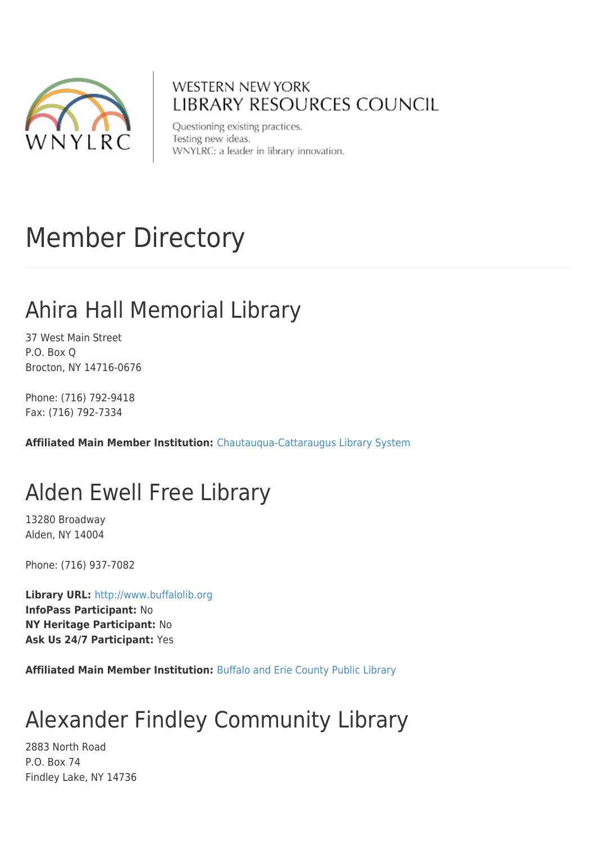

#### **WESTERN NEW YORK** LIBRARY RESOURCES COUNCIL

Questioning existing practices. Testing new ideas. WNYLRC: a leader in library innovation.

# Member Directory

## Ahira Hall Memorial Library

37 West Main Street P.O. Box Q Brocton, NY 14716-0676

Phone: (716) 792-9418 Fax: (716) 792-7334

**Affiliated Main Member Institution:** [Chautauqua-Cattaraugus Library System](http://www.wnylrc.org/membership/member/20)

## Alden Ewell Free Library

13280 Broadway Alden, NY 14004

Phone: (716) 937-7082

**Library URL:** <http://www.buffalolib.org> **InfoPass Participant:** No **NY Heritage Participant:** No **Ask Us 24/7 Participant:** Yes

**Affiliated Main Member Institution:** [Buffalo and Erie County Public Library](http://www.wnylrc.org/membership/member/6)

## Alexander Findley Community Library

2883 North Road P.O. Box 74 Findley Lake, NY 14736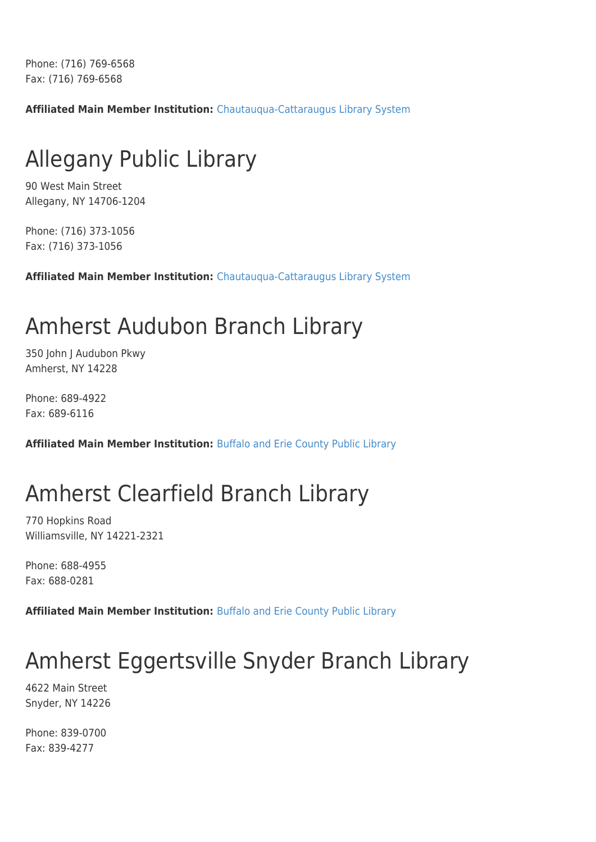Phone: (716) 769-6568 Fax: (716) 769-6568

**Affiliated Main Member Institution:** [Chautauqua-Cattaraugus Library System](http://www.wnylrc.org/membership/member/20)

### Allegany Public Library

90 West Main Street Allegany, NY 14706-1204

Phone: (716) 373-1056 Fax: (716) 373-1056

**Affiliated Main Member Institution:** [Chautauqua-Cattaraugus Library System](http://www.wnylrc.org/membership/member/20)

#### Amherst Audubon Branch Library

350 John J Audubon Pkwy Amherst, NY 14228

Phone: 689-4922 Fax: 689-6116

**Affiliated Main Member Institution:** [Buffalo and Erie County Public Library](http://www.wnylrc.org/membership/member/6)

## Amherst Clearfield Branch Library

770 Hopkins Road Williamsville, NY 14221-2321

Phone: 688-4955 Fax: 688-0281

**Affiliated Main Member Institution:** [Buffalo and Erie County Public Library](http://www.wnylrc.org/membership/member/6)

### Amherst Eggertsville Snyder Branch Library

4622 Main Street Snyder, NY 14226

Phone: 839-0700 Fax: 839-4277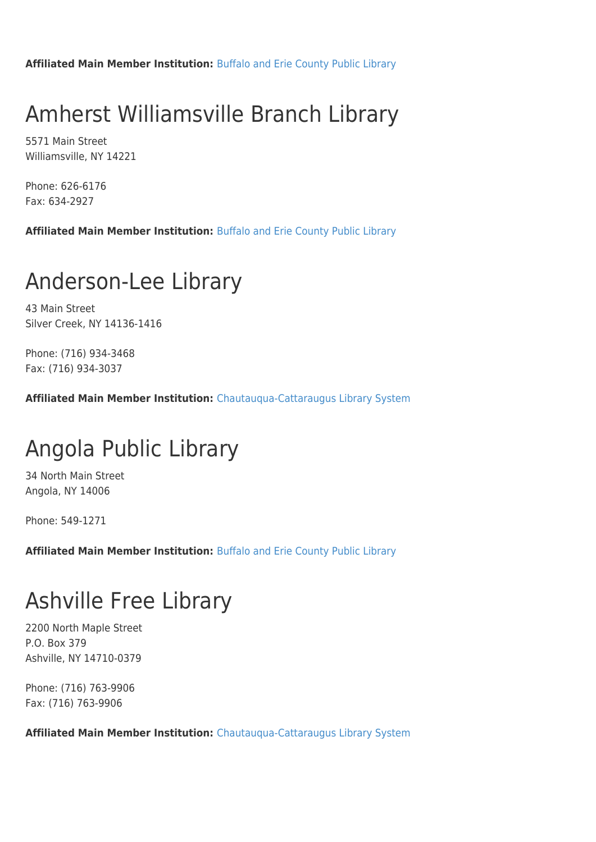**Affiliated Main Member Institution:** [Buffalo and Erie County Public Library](http://www.wnylrc.org/membership/member/6)

## Amherst Williamsville Branch Library

5571 Main Street Williamsville, NY 14221

Phone: 626-6176 Fax: 634-2927

**Affiliated Main Member Institution:** [Buffalo and Erie County Public Library](http://www.wnylrc.org/membership/member/6)

#### Anderson-Lee Library

43 Main Street Silver Creek, NY 14136-1416

Phone: (716) 934-3468 Fax: (716) 934-3037

**Affiliated Main Member Institution:** [Chautauqua-Cattaraugus Library System](http://www.wnylrc.org/membership/member/20)

### Angola Public Library

34 North Main Street Angola, NY 14006

Phone: 549-1271

**Affiliated Main Member Institution:** [Buffalo and Erie County Public Library](http://www.wnylrc.org/membership/member/6)

#### Ashville Free Library

2200 North Maple Street P.O. Box 379 Ashville, NY 14710-0379

Phone: (716) 763-9906 Fax: (716) 763-9906

**Affiliated Main Member Institution:** [Chautauqua-Cattaraugus Library System](http://www.wnylrc.org/membership/member/20)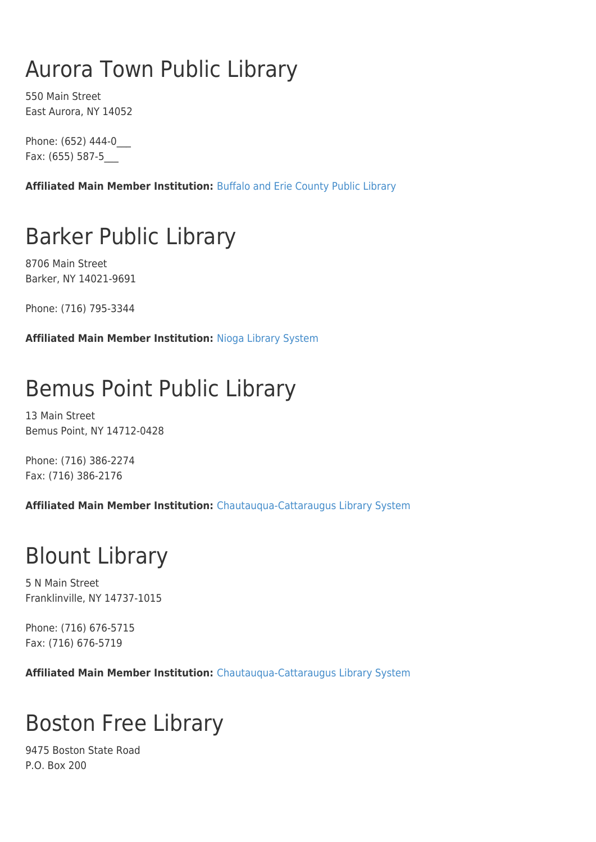## Aurora Town Public Library

550 Main Street East Aurora, NY 14052

Phone: (652) 444-0\_ Fax: (655) 587-5\_\_\_

**Affiliated Main Member Institution:** [Buffalo and Erie County Public Library](http://www.wnylrc.org/membership/member/6)

### Barker Public Library

8706 Main Street Barker, NY 14021-9691

Phone: (716) 795-3344

**Affiliated Main Member Institution:** [Nioga Library System](http://www.wnylrc.org/membership/member/59)

## Bemus Point Public Library

13 Main Street Bemus Point, NY 14712-0428

Phone: (716) 386-2274 Fax: (716) 386-2176

**Affiliated Main Member Institution:** [Chautauqua-Cattaraugus Library System](http://www.wnylrc.org/membership/member/20)

#### Blount Library

5 N Main Street Franklinville, NY 14737-1015

Phone: (716) 676-5715 Fax: (716) 676-5719

**Affiliated Main Member Institution:** [Chautauqua-Cattaraugus Library System](http://www.wnylrc.org/membership/member/20)

## Boston Free Library

9475 Boston State Road P.O. Box 200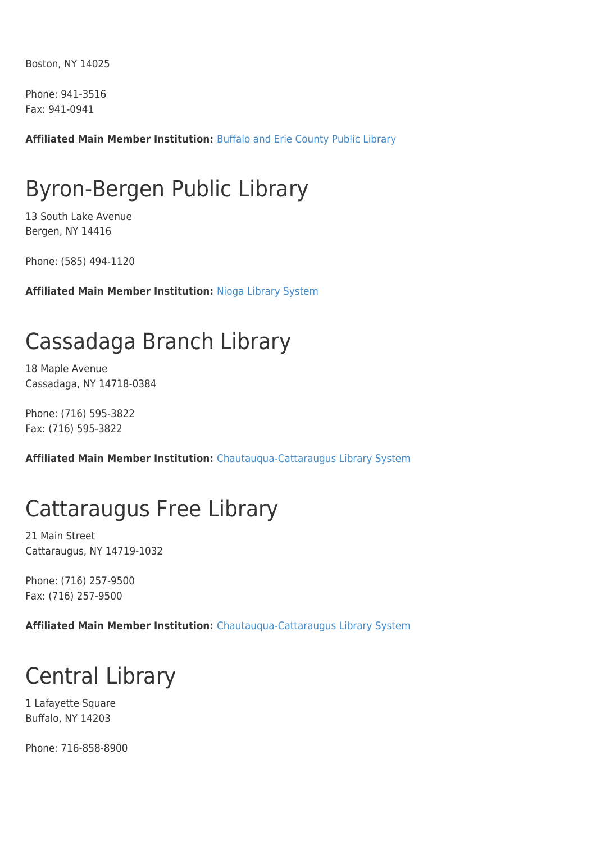Boston, NY 14025

Phone: 941-3516 Fax: 941-0941

**Affiliated Main Member Institution:** [Buffalo and Erie County Public Library](http://www.wnylrc.org/membership/member/6)

## Byron-Bergen Public Library

13 South Lake Avenue Bergen, NY 14416

Phone: (585) 494-1120

**Affiliated Main Member Institution:** [Nioga Library System](http://www.wnylrc.org/membership/member/59)

#### Cassadaga Branch Library

18 Maple Avenue Cassadaga, NY 14718-0384

Phone: (716) 595-3822 Fax: (716) 595-3822

**Affiliated Main Member Institution:** [Chautauqua-Cattaraugus Library System](http://www.wnylrc.org/membership/member/20)

#### Cattaraugus Free Library

21 Main Street Cattaraugus, NY 14719-1032

Phone: (716) 257-9500 Fax: (716) 257-9500

**Affiliated Main Member Institution:** [Chautauqua-Cattaraugus Library System](http://www.wnylrc.org/membership/member/20)

#### Central Library

1 Lafayette Square Buffalo, NY 14203

Phone: 716-858-8900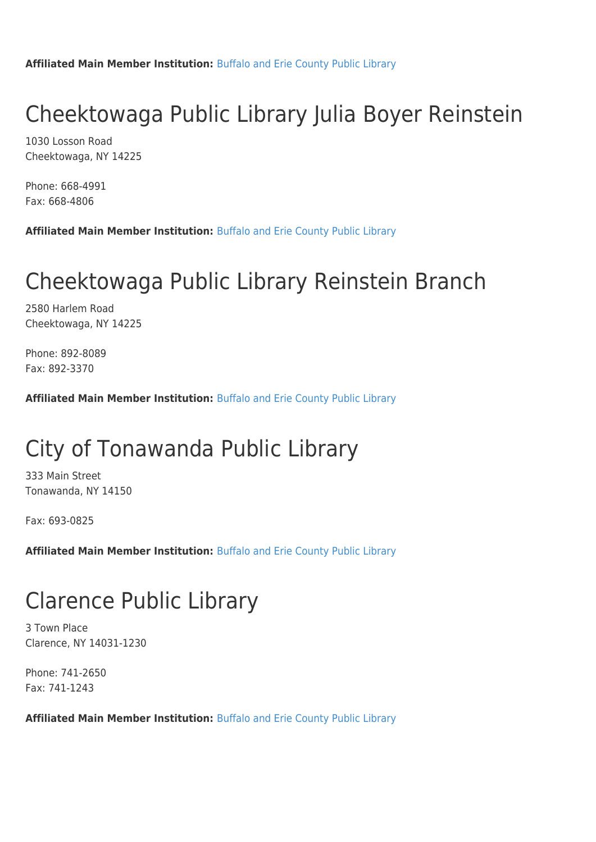**Affiliated Main Member Institution:** [Buffalo and Erie County Public Library](http://www.wnylrc.org/membership/member/6)

## Cheektowaga Public Library Julia Boyer Reinstein

1030 Losson Road Cheektowaga, NY 14225

Phone: 668-4991 Fax: 668-4806

**Affiliated Main Member Institution:** [Buffalo and Erie County Public Library](http://www.wnylrc.org/membership/member/6)

### Cheektowaga Public Library Reinstein Branch

2580 Harlem Road Cheektowaga, NY 14225

Phone: 892-8089 Fax: 892-3370

**Affiliated Main Member Institution:** [Buffalo and Erie County Public Library](http://www.wnylrc.org/membership/member/6)

### City of Tonawanda Public Library

333 Main Street Tonawanda, NY 14150

Fax: 693-0825

**Affiliated Main Member Institution:** [Buffalo and Erie County Public Library](http://www.wnylrc.org/membership/member/6)

#### Clarence Public Library

3 Town Place Clarence, NY 14031-1230

Phone: 741-2650 Fax: 741-1243

**Affiliated Main Member Institution:** [Buffalo and Erie County Public Library](http://www.wnylrc.org/membership/member/6)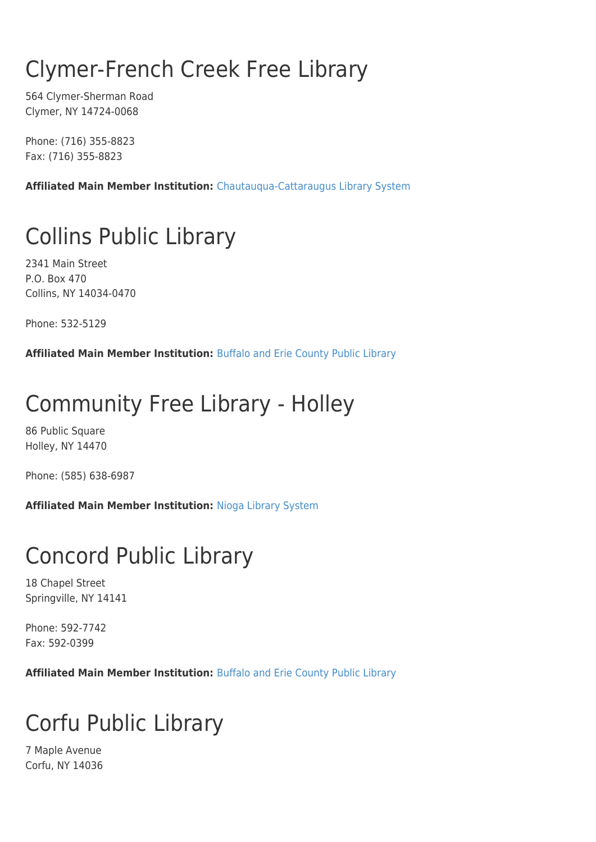## Clymer-French Creek Free Library

564 Clymer-Sherman Road Clymer, NY 14724-0068

Phone: (716) 355-8823 Fax: (716) 355-8823

**Affiliated Main Member Institution:** [Chautauqua-Cattaraugus Library System](http://www.wnylrc.org/membership/member/20)

## Collins Public Library

2341 Main Street P.O. Box 470 Collins, NY 14034-0470

Phone: 532-5129

**Affiliated Main Member Institution:** [Buffalo and Erie County Public Library](http://www.wnylrc.org/membership/member/6)

## Community Free Library - Holley

86 Public Square Holley, NY 14470

Phone: (585) 638-6987

**Affiliated Main Member Institution:** [Nioga Library System](http://www.wnylrc.org/membership/member/59)

#### Concord Public Library

18 Chapel Street Springville, NY 14141

Phone: 592-7742 Fax: 592-0399

**Affiliated Main Member Institution:** [Buffalo and Erie County Public Library](http://www.wnylrc.org/membership/member/6)

## Corfu Public Library

7 Maple Avenue Corfu, NY 14036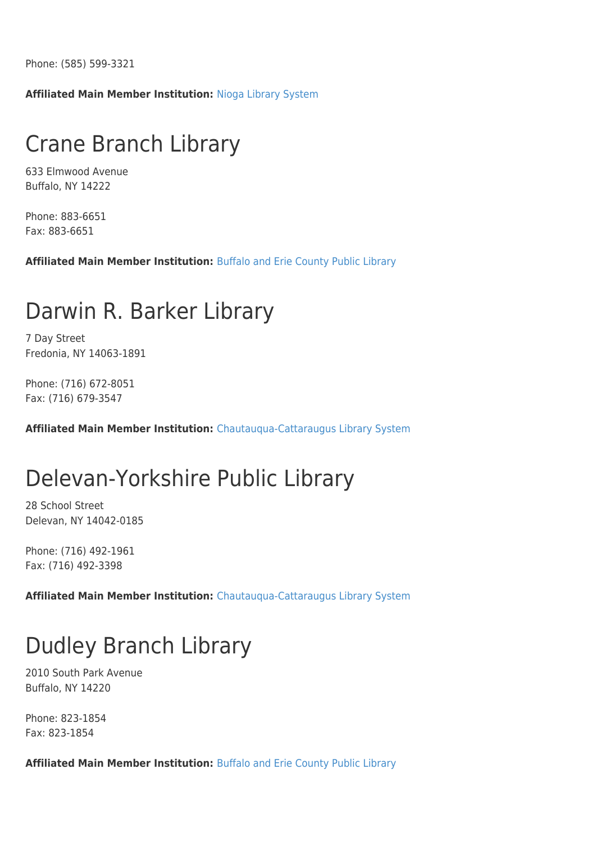Phone: (585) 599-3321

**Affiliated Main Member Institution:** [Nioga Library System](http://www.wnylrc.org/membership/member/59)

#### Crane Branch Library

633 Elmwood Avenue Buffalo, NY 14222

Phone: 883-6651 Fax: 883-6651

**Affiliated Main Member Institution:** [Buffalo and Erie County Public Library](http://www.wnylrc.org/membership/member/6)

#### Darwin R. Barker Library

7 Day Street Fredonia, NY 14063-1891

Phone: (716) 672-8051 Fax: (716) 679-3547

**Affiliated Main Member Institution:** [Chautauqua-Cattaraugus Library System](http://www.wnylrc.org/membership/member/20)

#### Delevan-Yorkshire Public Library

28 School Street Delevan, NY 14042-0185

Phone: (716) 492-1961 Fax: (716) 492-3398

**Affiliated Main Member Institution:** [Chautauqua-Cattaraugus Library System](http://www.wnylrc.org/membership/member/20)

#### Dudley Branch Library

2010 South Park Avenue Buffalo, NY 14220

Phone: 823-1854 Fax: 823-1854

**Affiliated Main Member Institution:** [Buffalo and Erie County Public Library](http://www.wnylrc.org/membership/member/6)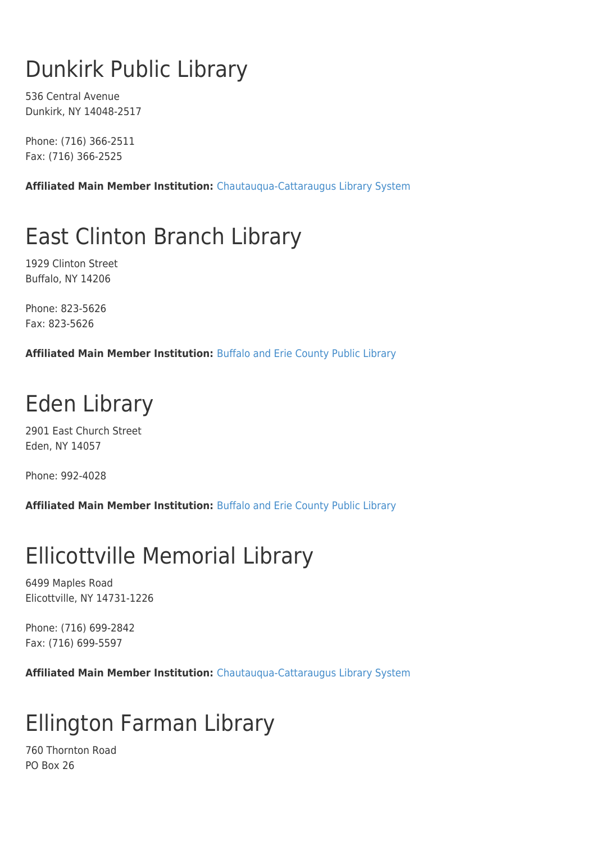## Dunkirk Public Library

536 Central Avenue Dunkirk, NY 14048-2517

Phone: (716) 366-2511 Fax: (716) 366-2525

**Affiliated Main Member Institution:** [Chautauqua-Cattaraugus Library System](http://www.wnylrc.org/membership/member/20)

## East Clinton Branch Library

1929 Clinton Street Buffalo, NY 14206

Phone: 823-5626 Fax: 823-5626

**Affiliated Main Member Institution:** [Buffalo and Erie County Public Library](http://www.wnylrc.org/membership/member/6)

## Eden Library

2901 East Church Street Eden, NY 14057

Phone: 992-4028

**Affiliated Main Member Institution:** [Buffalo and Erie County Public Library](http://www.wnylrc.org/membership/member/6)

### Ellicottville Memorial Library

6499 Maples Road Elicottville, NY 14731-1226

Phone: (716) 699-2842 Fax: (716) 699-5597

**Affiliated Main Member Institution:** [Chautauqua-Cattaraugus Library System](http://www.wnylrc.org/membership/member/20)

## Ellington Farman Library

760 Thornton Road PO Box 26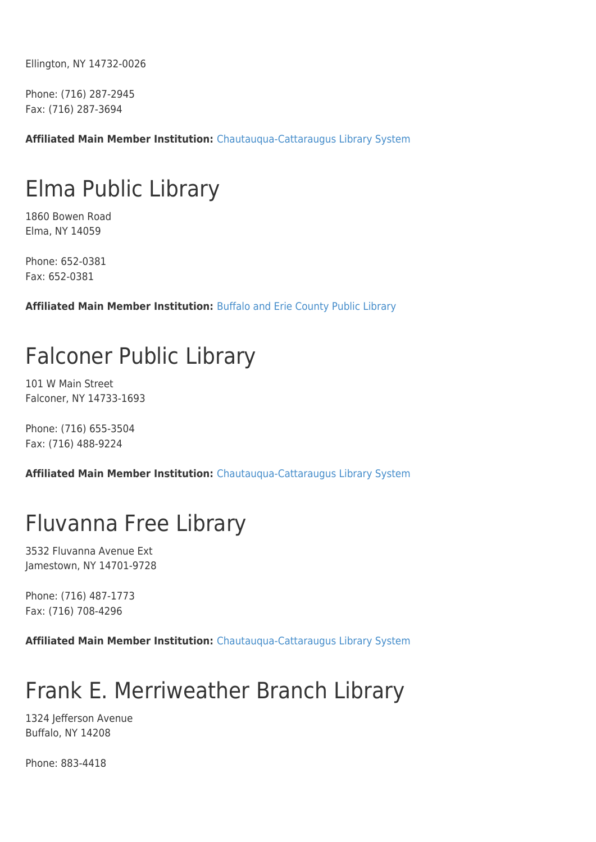Ellington, NY 14732-0026

Phone: (716) 287-2945 Fax: (716) 287-3694

**Affiliated Main Member Institution:** [Chautauqua-Cattaraugus Library System](http://www.wnylrc.org/membership/member/20)

### Elma Public Library

1860 Bowen Road Elma, NY 14059

Phone: 652-0381 Fax: 652-0381

**Affiliated Main Member Institution:** [Buffalo and Erie County Public Library](http://www.wnylrc.org/membership/member/6)

#### Falconer Public Library

101 W Main Street Falconer, NY 14733-1693

Phone: (716) 655-3504 Fax: (716) 488-9224

**Affiliated Main Member Institution:** [Chautauqua-Cattaraugus Library System](http://www.wnylrc.org/membership/member/20)

#### Fluvanna Free Library

3532 Fluvanna Avenue Ext Jamestown, NY 14701-9728

Phone: (716) 487-1773 Fax: (716) 708-4296

**Affiliated Main Member Institution:** [Chautauqua-Cattaraugus Library System](http://www.wnylrc.org/membership/member/20)

### Frank E. Merriweather Branch Library

1324 Jefferson Avenue Buffalo, NY 14208

Phone: 883-4418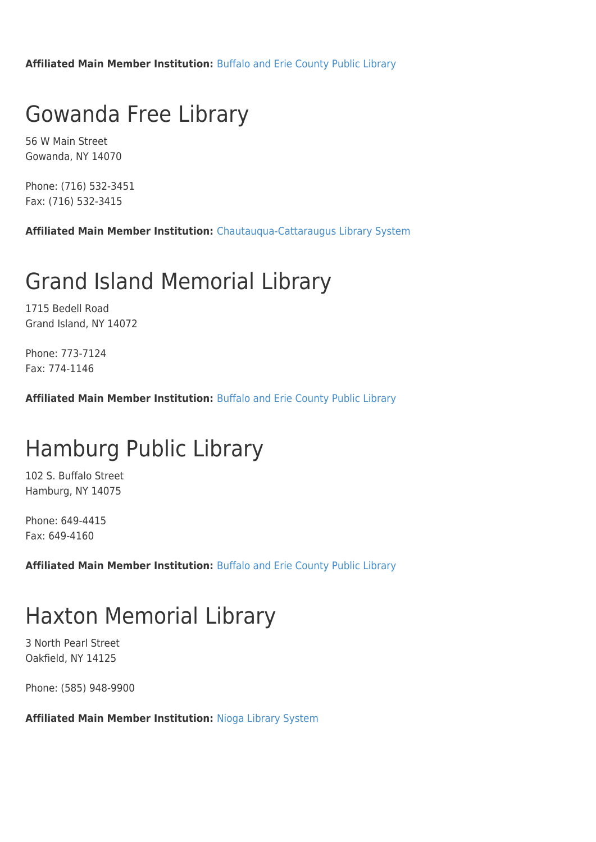**Affiliated Main Member Institution:** [Buffalo and Erie County Public Library](http://www.wnylrc.org/membership/member/6)

#### Gowanda Free Library

56 W Main Street Gowanda, NY 14070

Phone: (716) 532-3451 Fax: (716) 532-3415

**Affiliated Main Member Institution:** [Chautauqua-Cattaraugus Library System](http://www.wnylrc.org/membership/member/20)

#### Grand Island Memorial Library

1715 Bedell Road Grand Island, NY 14072

Phone: 773-7124 Fax: 774-1146

**Affiliated Main Member Institution:** [Buffalo and Erie County Public Library](http://www.wnylrc.org/membership/member/6)

#### Hamburg Public Library

102 S. Buffalo Street Hamburg, NY 14075

Phone: 649-4415 Fax: 649-4160

**Affiliated Main Member Institution:** [Buffalo and Erie County Public Library](http://www.wnylrc.org/membership/member/6)

#### Haxton Memorial Library

3 North Pearl Street Oakfield, NY 14125

Phone: (585) 948-9900

**Affiliated Main Member Institution:** [Nioga Library System](http://www.wnylrc.org/membership/member/59)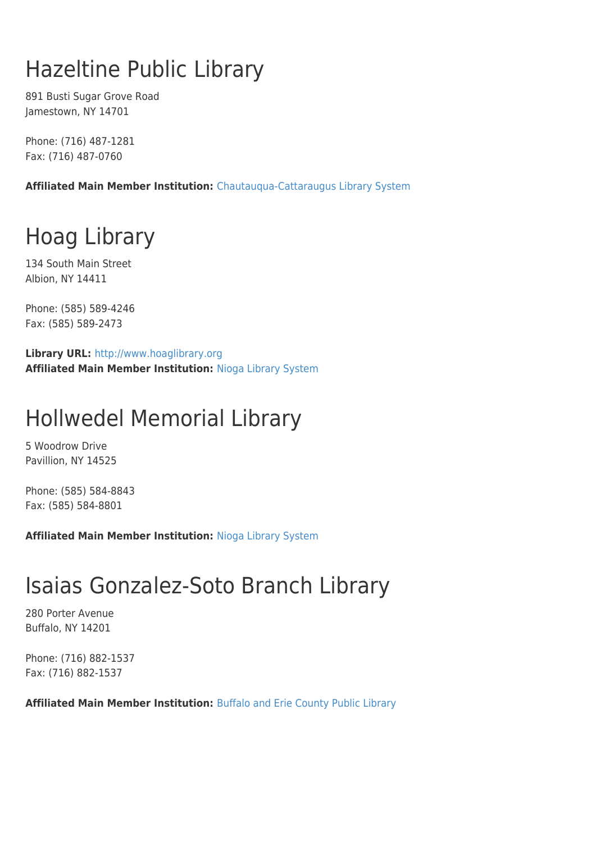## Hazeltine Public Library

891 Busti Sugar Grove Road Jamestown, NY 14701

Phone: (716) 487-1281 Fax: (716) 487-0760

**Affiliated Main Member Institution:** [Chautauqua-Cattaraugus Library System](http://www.wnylrc.org/membership/member/20)

## Hoag Library

134 South Main Street Albion, NY 14411

Phone: (585) 589-4246 Fax: (585) 589-2473

**Library URL:** <http://www.hoaglibrary.org> **Affiliated Main Member Institution:** [Nioga Library System](http://www.wnylrc.org/membership/member/59)

## Hollwedel Memorial Library

5 Woodrow Drive Pavillion, NY 14525

Phone: (585) 584-8843 Fax: (585) 584-8801

**Affiliated Main Member Institution:** [Nioga Library System](http://www.wnylrc.org/membership/member/59)

### Isaias Gonzalez-Soto Branch Library

280 Porter Avenue Buffalo, NY 14201

Phone: (716) 882-1537 Fax: (716) 882-1537

**Affiliated Main Member Institution:** [Buffalo and Erie County Public Library](http://www.wnylrc.org/membership/member/6)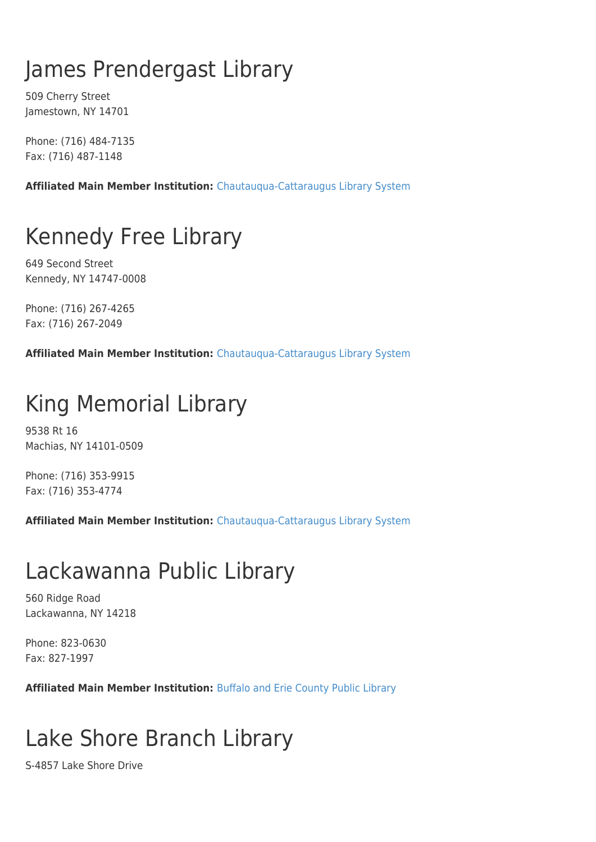## James Prendergast Library

509 Cherry Street Jamestown, NY 14701

Phone: (716) 484-7135 Fax: (716) 487-1148

**Affiliated Main Member Institution:** [Chautauqua-Cattaraugus Library System](http://www.wnylrc.org/membership/member/20)

## Kennedy Free Library

649 Second Street Kennedy, NY 14747-0008

Phone: (716) 267-4265 Fax: (716) 267-2049

**Affiliated Main Member Institution:** [Chautauqua-Cattaraugus Library System](http://www.wnylrc.org/membership/member/20)

## King Memorial Library

9538 Rt 16 Machias, NY 14101-0509

Phone: (716) 353-9915 Fax: (716) 353-4774

**Affiliated Main Member Institution:** [Chautauqua-Cattaraugus Library System](http://www.wnylrc.org/membership/member/20)

### Lackawanna Public Library

560 Ridge Road Lackawanna, NY 14218

Phone: 823-0630 Fax: 827-1997

**Affiliated Main Member Institution:** [Buffalo and Erie County Public Library](http://www.wnylrc.org/membership/member/6)

## Lake Shore Branch Library

S-4857 Lake Shore Drive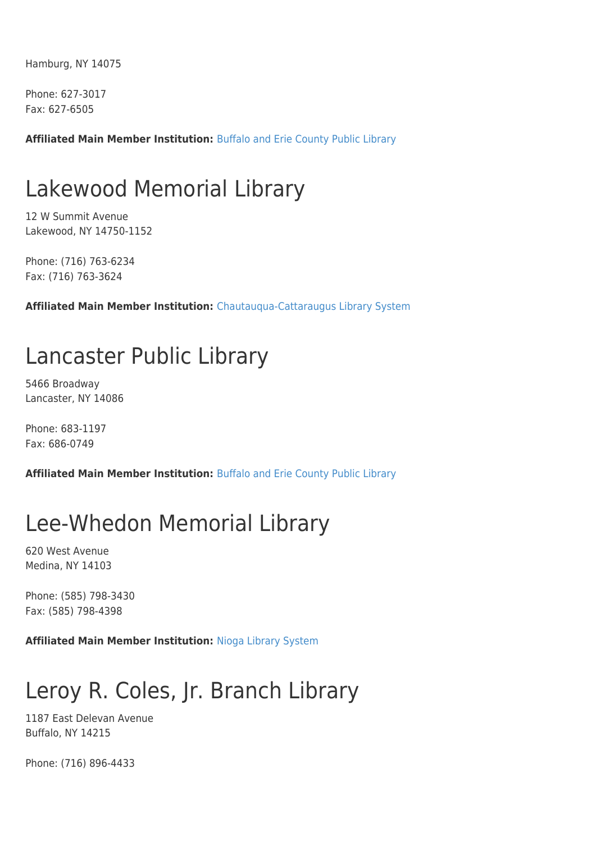Hamburg, NY 14075

Phone: 627-3017 Fax: 627-6505

**Affiliated Main Member Institution:** [Buffalo and Erie County Public Library](http://www.wnylrc.org/membership/member/6)

### Lakewood Memorial Library

12 W Summit Avenue Lakewood, NY 14750-1152

Phone: (716) 763-6234 Fax: (716) 763-3624

**Affiliated Main Member Institution:** [Chautauqua-Cattaraugus Library System](http://www.wnylrc.org/membership/member/20)

#### Lancaster Public Library

5466 Broadway Lancaster, NY 14086

Phone: 683-1197 Fax: 686-0749

**Affiliated Main Member Institution:** [Buffalo and Erie County Public Library](http://www.wnylrc.org/membership/member/6)

#### Lee-Whedon Memorial Library

620 West Avenue Medina, NY 14103

Phone: (585) 798-3430 Fax: (585) 798-4398

**Affiliated Main Member Institution:** [Nioga Library System](http://www.wnylrc.org/membership/member/59)

## Leroy R. Coles, Jr. Branch Library

1187 East Delevan Avenue Buffalo, NY 14215

Phone: (716) 896-4433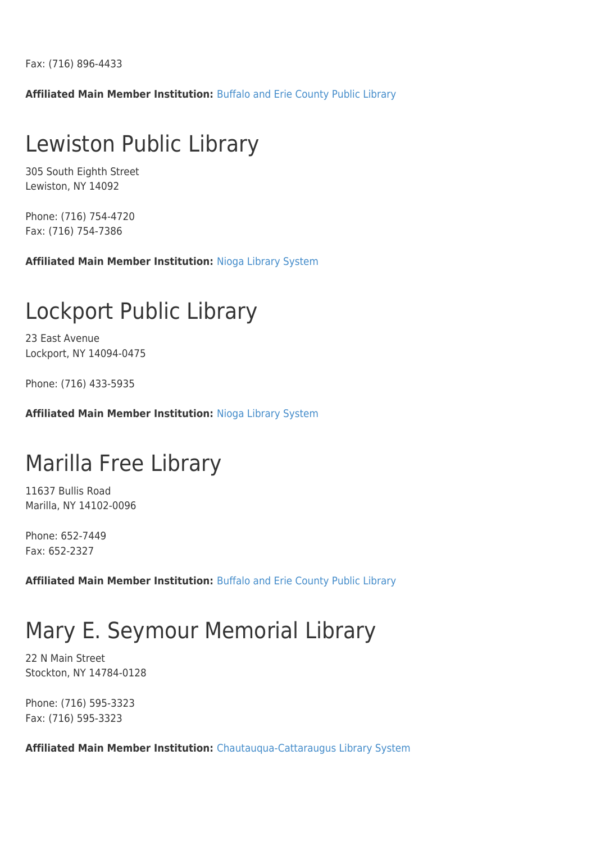Fax: (716) 896-4433

**Affiliated Main Member Institution:** [Buffalo and Erie County Public Library](http://www.wnylrc.org/membership/member/6)

#### Lewiston Public Library

305 South Eighth Street Lewiston, NY 14092

Phone: (716) 754-4720 Fax: (716) 754-7386

**Affiliated Main Member Institution:** [Nioga Library System](http://www.wnylrc.org/membership/member/59)

#### Lockport Public Library

23 East Avenue Lockport, NY 14094-0475

Phone: (716) 433-5935

**Affiliated Main Member Institution:** [Nioga Library System](http://www.wnylrc.org/membership/member/59)

#### Marilla Free Library

11637 Bullis Road Marilla, NY 14102-0096

Phone: 652-7449 Fax: 652-2327

**Affiliated Main Member Institution:** [Buffalo and Erie County Public Library](http://www.wnylrc.org/membership/member/6)

#### Mary E. Seymour Memorial Library

22 N Main Street Stockton, NY 14784-0128

Phone: (716) 595-3323 Fax: (716) 595-3323

**Affiliated Main Member Institution:** [Chautauqua-Cattaraugus Library System](http://www.wnylrc.org/membership/member/20)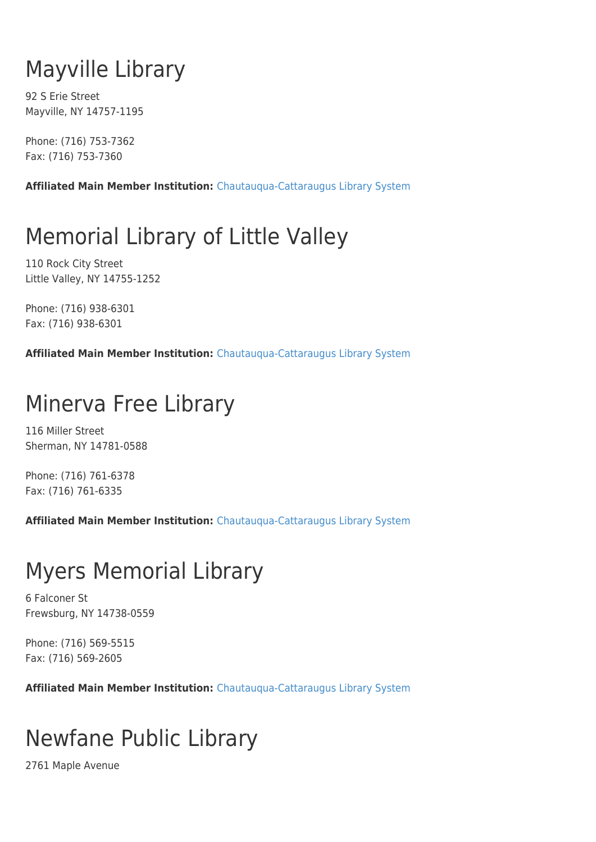## Mayville Library

92 S Erie Street Mayville, NY 14757-1195

Phone: (716) 753-7362 Fax: (716) 753-7360

**Affiliated Main Member Institution:** [Chautauqua-Cattaraugus Library System](http://www.wnylrc.org/membership/member/20)

## Memorial Library of Little Valley

110 Rock City Street Little Valley, NY 14755-1252

Phone: (716) 938-6301 Fax: (716) 938-6301

**Affiliated Main Member Institution:** [Chautauqua-Cattaraugus Library System](http://www.wnylrc.org/membership/member/20)

## Minerva Free Library

116 Miller Street Sherman, NY 14781-0588

Phone: (716) 761-6378 Fax: (716) 761-6335

**Affiliated Main Member Institution:** [Chautauqua-Cattaraugus Library System](http://www.wnylrc.org/membership/member/20)

## Myers Memorial Library

6 Falconer St Frewsburg, NY 14738-0559

Phone: (716) 569-5515 Fax: (716) 569-2605

**Affiliated Main Member Institution:** [Chautauqua-Cattaraugus Library System](http://www.wnylrc.org/membership/member/20)

### Newfane Public Library

2761 Maple Avenue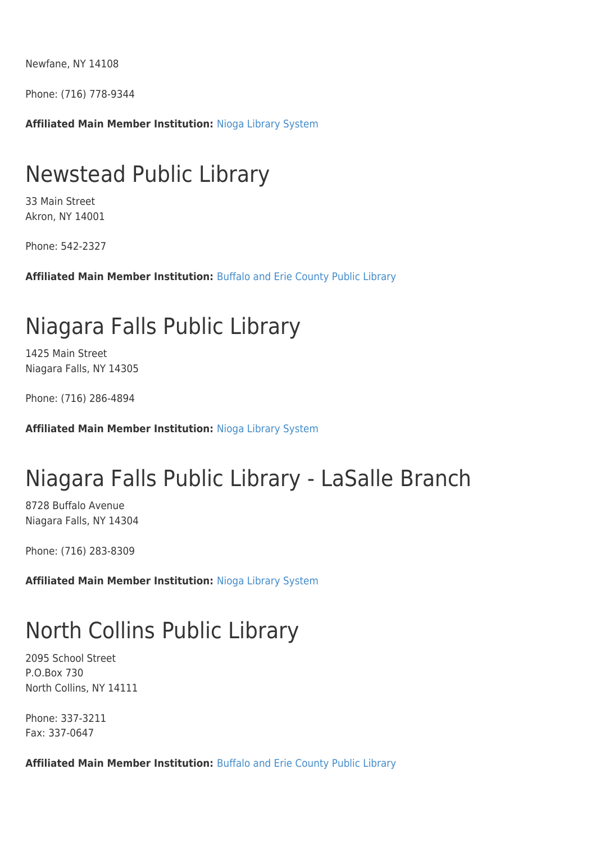Newfane, NY 14108

Phone: (716) 778-9344

**Affiliated Main Member Institution:** [Nioga Library System](http://www.wnylrc.org/membership/member/59)

#### Newstead Public Library

33 Main Street Akron, NY 14001

Phone: 542-2327

**Affiliated Main Member Institution:** [Buffalo and Erie County Public Library](http://www.wnylrc.org/membership/member/6)

#### Niagara Falls Public Library

1425 Main Street Niagara Falls, NY 14305

Phone: (716) 286-4894

**Affiliated Main Member Institution:** [Nioga Library System](http://www.wnylrc.org/membership/member/59)

#### Niagara Falls Public Library - LaSalle Branch

8728 Buffalo Avenue Niagara Falls, NY 14304

Phone: (716) 283-8309

**Affiliated Main Member Institution:** [Nioga Library System](http://www.wnylrc.org/membership/member/59)

#### North Collins Public Library

2095 School Street P.O.Box 730 North Collins, NY 14111

Phone: 337-3211 Fax: 337-0647

**Affiliated Main Member Institution:** [Buffalo and Erie County Public Library](http://www.wnylrc.org/membership/member/6)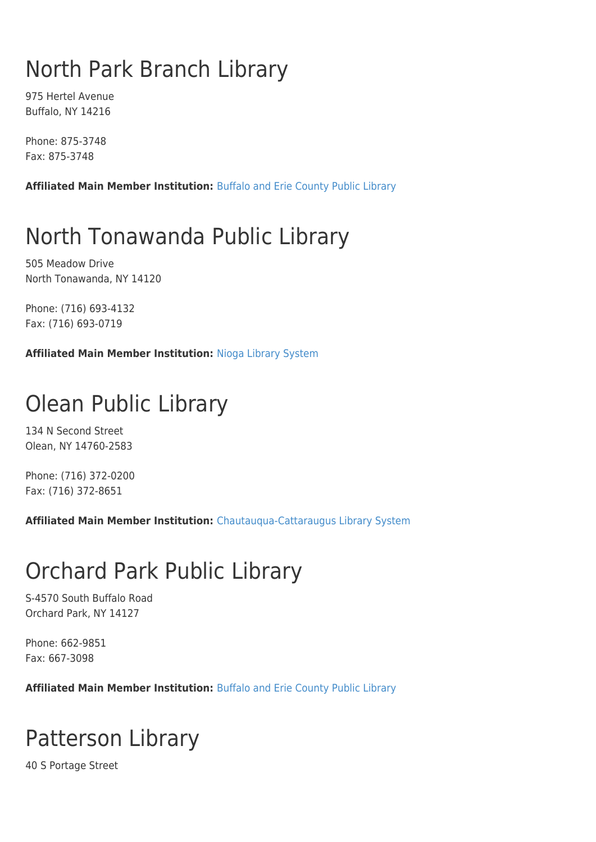## North Park Branch Library

975 Hertel Avenue Buffalo, NY 14216

Phone: 875-3748 Fax: 875-3748

**Affiliated Main Member Institution:** [Buffalo and Erie County Public Library](http://www.wnylrc.org/membership/member/6)

## North Tonawanda Public Library

505 Meadow Drive North Tonawanda, NY 14120

Phone: (716) 693-4132 Fax: (716) 693-0719

**Affiliated Main Member Institution:** [Nioga Library System](http://www.wnylrc.org/membership/member/59)

## Olean Public Library

134 N Second Street Olean, NY 14760-2583

Phone: (716) 372-0200 Fax: (716) 372-8651

**Affiliated Main Member Institution:** [Chautauqua-Cattaraugus Library System](http://www.wnylrc.org/membership/member/20)

### Orchard Park Public Library

S-4570 South Buffalo Road Orchard Park, NY 14127

Phone: 662-9851 Fax: 667-3098

**Affiliated Main Member Institution:** [Buffalo and Erie County Public Library](http://www.wnylrc.org/membership/member/6)

## Patterson Library

40 S Portage Street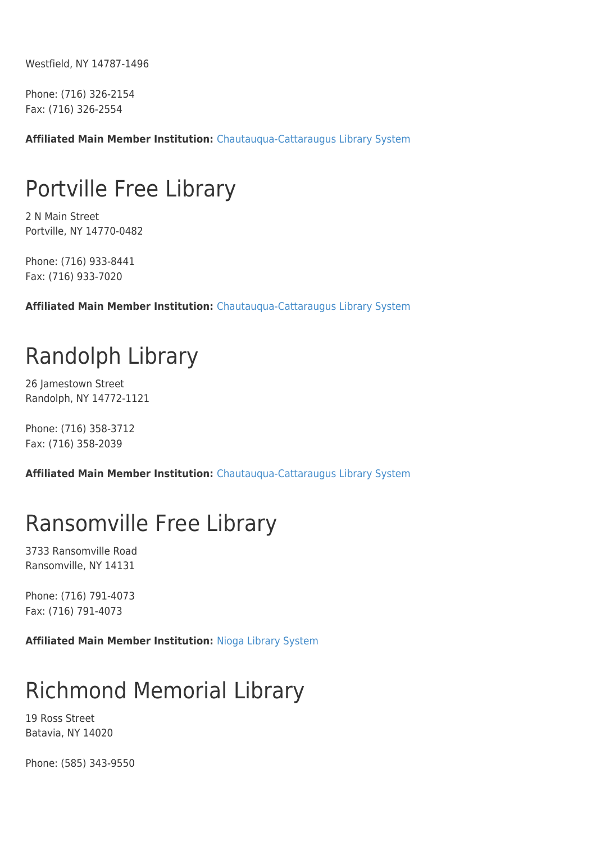Westfield, NY 14787-1496

Phone: (716) 326-2154 Fax: (716) 326-2554

**Affiliated Main Member Institution:** [Chautauqua-Cattaraugus Library System](http://www.wnylrc.org/membership/member/20)

### Portville Free Library

2 N Main Street Portville, NY 14770-0482

Phone: (716) 933-8441 Fax: (716) 933-7020

**Affiliated Main Member Institution:** [Chautauqua-Cattaraugus Library System](http://www.wnylrc.org/membership/member/20)

## Randolph Library

26 Jamestown Street Randolph, NY 14772-1121

Phone: (716) 358-3712 Fax: (716) 358-2039

**Affiliated Main Member Institution:** [Chautauqua-Cattaraugus Library System](http://www.wnylrc.org/membership/member/20)

#### Ransomville Free Library

3733 Ransomville Road Ransomville, NY 14131

Phone: (716) 791-4073 Fax: (716) 791-4073

**Affiliated Main Member Institution:** [Nioga Library System](http://www.wnylrc.org/membership/member/59)

#### Richmond Memorial Library

19 Ross Street Batavia, NY 14020

Phone: (585) 343-9550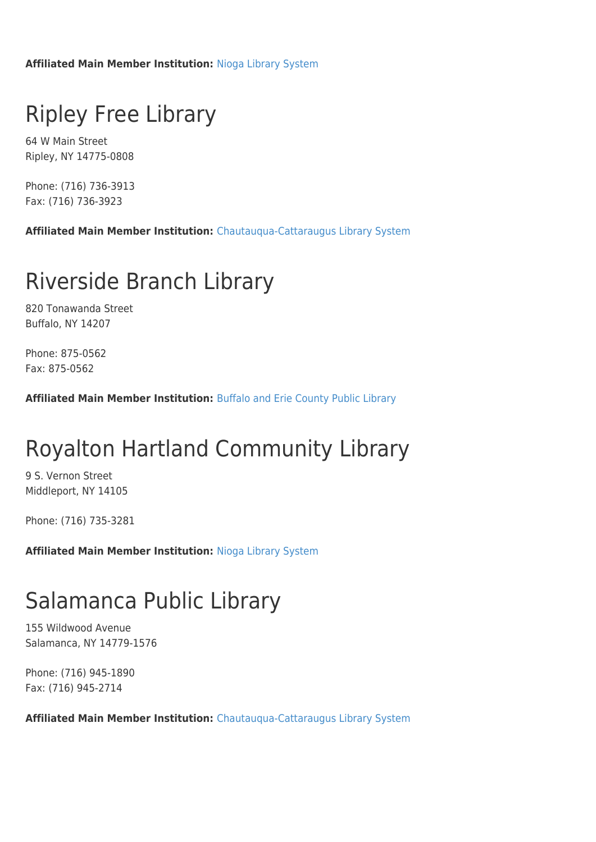**Affiliated Main Member Institution:** [Nioga Library System](http://www.wnylrc.org/membership/member/59)

## Ripley Free Library

64 W Main Street Ripley, NY 14775-0808

Phone: (716) 736-3913 Fax: (716) 736-3923

**Affiliated Main Member Institution:** [Chautauqua-Cattaraugus Library System](http://www.wnylrc.org/membership/member/20)

#### Riverside Branch Library

820 Tonawanda Street Buffalo, NY 14207

Phone: 875-0562 Fax: 875-0562

**Affiliated Main Member Institution:** [Buffalo and Erie County Public Library](http://www.wnylrc.org/membership/member/6)

### Royalton Hartland Community Library

9 S. Vernon Street Middleport, NY 14105

Phone: (716) 735-3281

**Affiliated Main Member Institution:** [Nioga Library System](http://www.wnylrc.org/membership/member/59)

#### Salamanca Public Library

155 Wildwood Avenue Salamanca, NY 14779-1576

Phone: (716) 945-1890 Fax: (716) 945-2714

**Affiliated Main Member Institution:** [Chautauqua-Cattaraugus Library System](http://www.wnylrc.org/membership/member/20)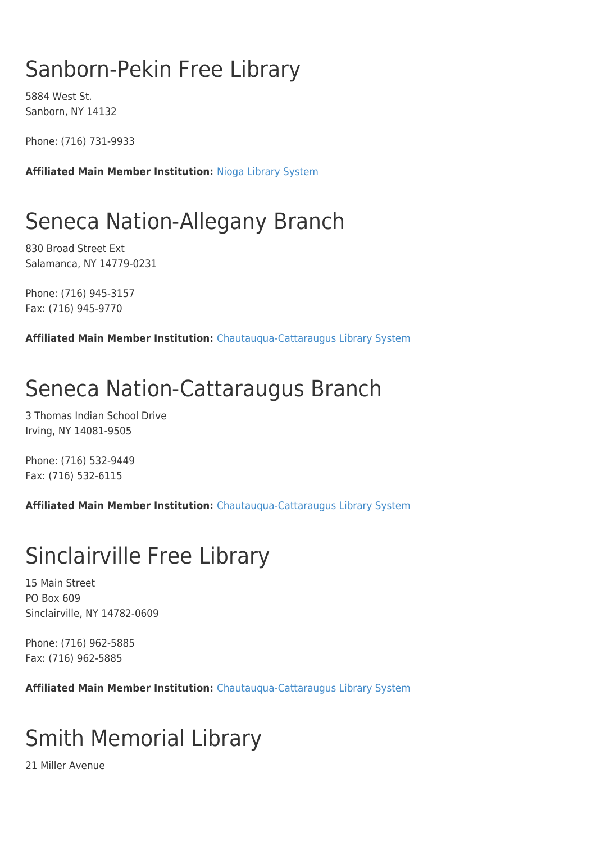## Sanborn-Pekin Free Library

5884 West St. Sanborn, NY 14132

Phone: (716) 731-9933

**Affiliated Main Member Institution:** [Nioga Library System](http://www.wnylrc.org/membership/member/59)

## Seneca Nation-Allegany Branch

830 Broad Street Ext Salamanca, NY 14779-0231

Phone: (716) 945-3157 Fax: (716) 945-9770

**Affiliated Main Member Institution:** [Chautauqua-Cattaraugus Library System](http://www.wnylrc.org/membership/member/20)

## Seneca Nation-Cattaraugus Branch

3 Thomas Indian School Drive Irving, NY 14081-9505

Phone: (716) 532-9449 Fax: (716) 532-6115

**Affiliated Main Member Institution:** [Chautauqua-Cattaraugus Library System](http://www.wnylrc.org/membership/member/20)

### Sinclairville Free Library

15 Main Street PO Box 609 Sinclairville, NY 14782-0609

Phone: (716) 962-5885 Fax: (716) 962-5885

**Affiliated Main Member Institution:** [Chautauqua-Cattaraugus Library System](http://www.wnylrc.org/membership/member/20)

## Smith Memorial Library

21 Miller Avenue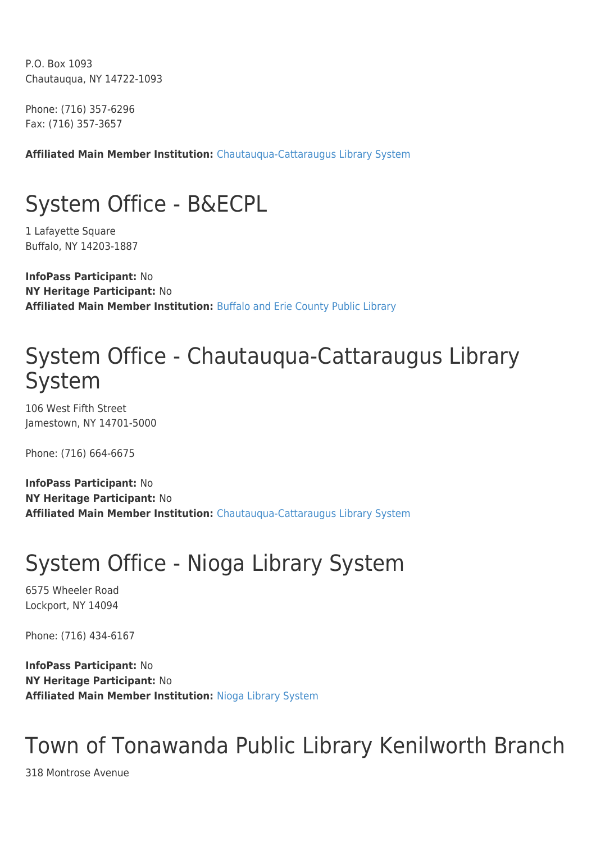P.O. Box 1093 Chautauqua, NY 14722-1093

Phone: (716) 357-6296 Fax: (716) 357-3657

**Affiliated Main Member Institution:** [Chautauqua-Cattaraugus Library System](http://www.wnylrc.org/membership/member/20)

## System Office - B&ECPL

1 Lafayette Square Buffalo, NY 14203-1887

**InfoPass Participant:** No **NY Heritage Participant:** No **Affiliated Main Member Institution:** [Buffalo and Erie County Public Library](http://www.wnylrc.org/membership/member/6)

#### System Office - Chautauqua-Cattaraugus Library System

106 West Fifth Street Jamestown, NY 14701-5000

Phone: (716) 664-6675

**InfoPass Participant:** No **NY Heritage Participant:** No **Affiliated Main Member Institution:** [Chautauqua-Cattaraugus Library System](http://www.wnylrc.org/membership/member/20)

### System Office - Nioga Library System

6575 Wheeler Road Lockport, NY 14094

Phone: (716) 434-6167

**InfoPass Participant:** No **NY Heritage Participant:** No **Affiliated Main Member Institution:** [Nioga Library System](http://www.wnylrc.org/membership/member/59)

### Town of Tonawanda Public Library Kenilworth Branch

318 Montrose Avenue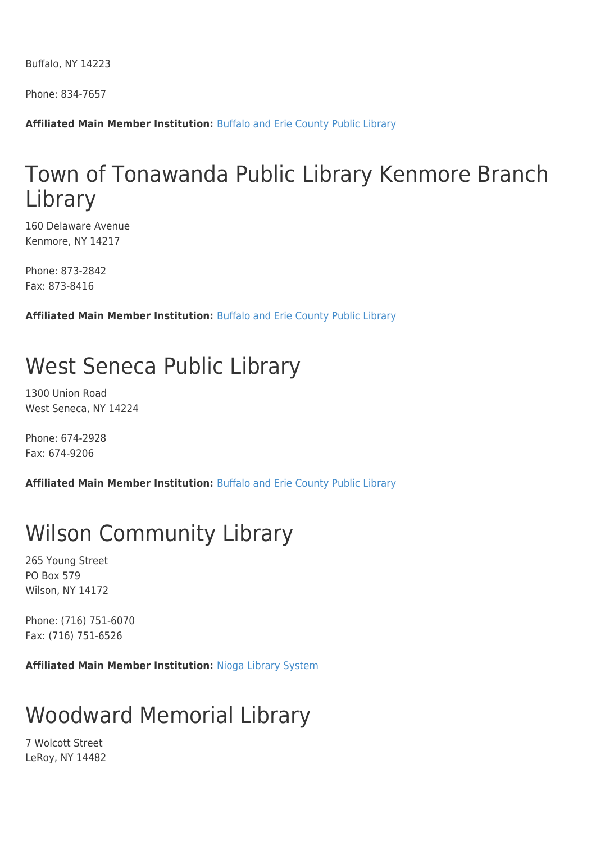Buffalo, NY 14223

Phone: 834-7657

**Affiliated Main Member Institution:** [Buffalo and Erie County Public Library](http://www.wnylrc.org/membership/member/6)

#### Town of Tonawanda Public Library Kenmore Branch Library

160 Delaware Avenue Kenmore, NY 14217

Phone: 873-2842 Fax: 873-8416

**Affiliated Main Member Institution:** [Buffalo and Erie County Public Library](http://www.wnylrc.org/membership/member/6)

### West Seneca Public Library

1300 Union Road West Seneca, NY 14224

Phone: 674-2928 Fax: 674-9206

**Affiliated Main Member Institution:** [Buffalo and Erie County Public Library](http://www.wnylrc.org/membership/member/6)

## Wilson Community Library

265 Young Street PO Box 579 Wilson, NY 14172

Phone: (716) 751-6070 Fax: (716) 751-6526

**Affiliated Main Member Institution:** [Nioga Library System](http://www.wnylrc.org/membership/member/59)

## Woodward Memorial Library

7 Wolcott Street LeRoy, NY 14482